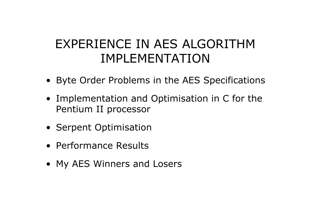# EXPERIENCE IN AES ALGORITHM IMPLEMENTATION

- Byte Order Problems in the AES Specifications
- Implementation and Optimisation in C for the Pentium II processor
- Serpent Optimisation
- Performance Results
- My AES Winners and Losers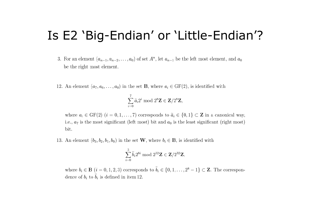## Is E2 'Big-Endian' or 'Little-Endian'?

- 3. For an element  $(a_{n-1}, a_{n-2},..., a_0)$  of set  $A^n$ , let  $a_{n-1}$  be the left most element, and  $a_0$ be the right most element.
- 12. An element  $(a_7, a_6, \ldots, a_0)$  in the set **B**, where  $a_i \in GF(2)$ , is identified with

$$
\sum_{i=0}^7 \widetilde{a}_i 2^i \bmod 2^8 \mathbf{Z} \in \mathbf{Z}/2^8 \mathbf{Z},
$$

where  $a_i \in GF(2)$   $(i = 0, 1, ..., 7)$  corresponds to  $\tilde{a}_i \in \{0, 1\} \subset \mathbb{Z}$  in a canonical way, i.e.,  $a_7$  is the most significant (left most) bit and  $a_0$  is the least significant (right most) bit.

13. An element  $(b_3, b_2, b_1, b_0)$  in the set **W**, where  $b_i \in \mathbf{B}$ , is identified with

$$
\sum_{i=0}^3 \tilde{b}_i 2^{8i} \bmod 2^{32} \mathbf{Z} \in \mathbf{Z}/2^{32} \mathbf{Z},
$$

where  $b_i \in \mathbf{B}$   $(i = 0, 1, 2, 3)$  corresponds to  $\tilde{b}_i \in \{0, 1, \ldots, 2^8 - 1\} \subset \mathbf{Z}$ . The correspondence of  $b_i$  to  $\tilde{b}_i$  is defined in item 12.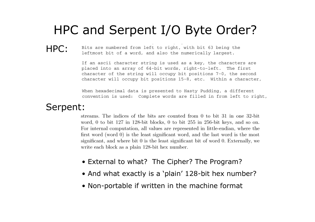## HPC and Serpent I/O Byte Order?

#### HPC:

Bits are numbered from left to right, with bit 63 being the leftmost bit of a word, and also the numerically largest.

If an ascii character string is used as a key, the characters are placed into an array of 64-bit words, right-to-left. The first character of the string will occupy bit positions 7-0, the second character will occupy bit positions 15-8, etc. Within a character,

When hexadecimal data is presented to Hasty Pudding, a different convention is used: Complete words are filled in from left to right,

#### Serpent:

streams. The indices of the bits are counted from 0 to bit 31 in one 32-bit word, 0 to bit 127 in 128-bit blocks, 0 to bit 255 in 256-bit keys, and so on. For internal computation, all values are represented in little-endian, where the first word (word  $\theta$ ) is the least significant word, and the last word is the most significant, and where bit 0 is the least significant bit of word 0. Externally, we write each block as a plain 128-bit hex number.

- External to what? The Cipher? The Program?
- And what exactly is a 'plain' 128-bit hex number?
- Non-portable if written in the machine format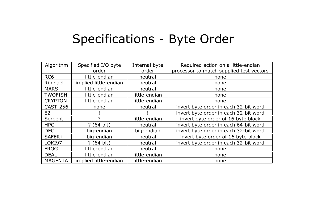## Specifications - Byte Order

| Algorithm       | Specified I/O byte    | Internal byte | Required action on a little-endian       |  |  |  |  |
|-----------------|-----------------------|---------------|------------------------------------------|--|--|--|--|
|                 | order                 | order         | processor to match supplied test vectors |  |  |  |  |
| RC <sub>6</sub> | little-endian         | neutral       | none                                     |  |  |  |  |
| Rijndael        | implied little-endian | neutral       | none                                     |  |  |  |  |
| <b>MARS</b>     | little-endian         | neutral       | none                                     |  |  |  |  |
| <b>TWOFISH</b>  | little-endian         | little-endian | none                                     |  |  |  |  |
| <b>CRYPTON</b>  | little-endian         | little-endian | none                                     |  |  |  |  |
| <b>CAST-256</b> | none                  | neutral       | invert byte order in each 32-bit word    |  |  |  |  |
| E <sub>2</sub>  |                       |               | invert byte order in each 32-bit word    |  |  |  |  |
| Serpent         | っ                     | little-endian | invert byte order of 16 byte block       |  |  |  |  |
| <b>HPC</b>      | ? (64 bit)            | neutral       | invert byte order in each 64-bit word    |  |  |  |  |
| DFC             | big-endian            | big-endian    | invert byte order in each 32-bit word    |  |  |  |  |
| SAFER+          | big-endian            | neutral       | invert byte order of 16 byte block       |  |  |  |  |
| LOKI97          | ? (64 bit)            | neutral       | invert byte order in each 32-bit word    |  |  |  |  |
| <b>FROG</b>     | little-endian         | neutral       | none                                     |  |  |  |  |
| <b>DEAL</b>     | little-endian         | little-endian | none                                     |  |  |  |  |
| <b>MAGENTA</b>  | implied little-endian | little-endian | none                                     |  |  |  |  |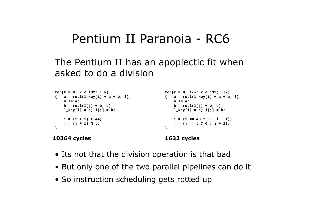## Pentium II Paranoia - RC6

#### The Pentium II has an apoplectic fit when asked to do a division

```
for(k = 0; k < 132; ++k)
                                                   for(k = 0, t--; k < 132; ++k)
\{ a = rot1(l\_key[i] + a + b, 3);\{ a = rotl(1 key[i] + a + b, 3);
   b == a;b == ab = rot1(1[j] + b, b);b = rot1(1[i] + b, b);l \text{key}[i] = a; l[i] = b;l \text{key}[i] = a; l[i] = b;i = (i + 1) % 44;i = (i == 43 ? 0 : i + 1);i = (i + 1) % t;
                                                       i = (i == t ? 0 : i + 1);\lambda\mathcal{E}
```
#### **10364 cycles**

#### 1632 cycles

- Its not that the division operation is that bad
- But only one of the two parallel pipelines can do it
- So instruction scheduling gets rotted up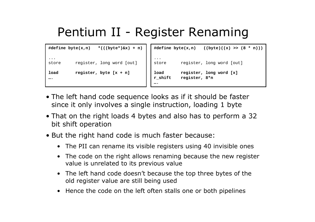# Pentium II - Register Renaming

```
#define byte(x, n)*(((byte*)\&x) + n)register, long word [out]
store
           register, byte [x + n]load
\cdots
```

```
#define byte(x, n)((byte)((x) > (8 * n)))\cdot .
           register, long word [out]
store
load
           register, long word [x]
r shift
           register, 8*n
```
- The left hand code sequence looks as if it should be faster since it only involves a single instruction, loading 1 byte
- That on the right loads 4 bytes and also has to perform a 32 bit shift operation
- But the right hand code is much faster because:
	- The PII can rename its visible registers using 40 invisible ones
	- The code on the right allows renaming because the new register value is unrelated to its previous value
	- The left hand code doesn't because the top three bytes of the old register value are still being used
	- Hence the code on the left often stalls one or both pipelines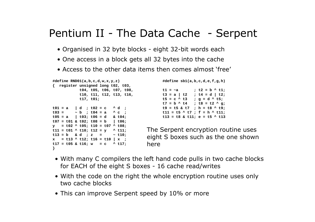#### Pentium II - The Data Cache - Serpent

- Organised in 32 byte blocks eight 32-bit words each
- One access in a block gets all 32 bytes into the cache
- Access to the other data items then comes almost 'free'

```
#define RND01(a,b,c,d,w,x,y,z)#define sb1(a,b,c,d,e,f,q,h){ register unsigned long t02, t03,
                                           t1 = -at04, t05, t06, t07, t08,
                                                                ; t2 = b \wedge t1;
           t10, t11, t12, t13, t16,
                                               t3 = a | t2 ; t4 = d | t2;
            t17, t01;t5 = c \land t3 ; q = d \land t5;
                                                 t7 = b \land t4 ; t8 = t2 \land q;
                                              t9 = t5 & t7 ; h = t8 ^ t9;
t01 = a\begin{bmatrix} d & f & f & 0 & 2 \end{bmatrix} = c \quad \land d \quad f\sim b : t04 = a \wedge c :
t03 =t11 = t5 \land t7; f = h \land t11;
t05 = a | t03; t06 = d & t04;
                                                 t13 = t8 & t11; e = t5 \land t13
t07 = t01 & t02; t08 = b | t06;
y = t02 ^ t05; t10 = t07 ^ t08;
                                          The Serpent encryption routine uses
t11 = t01 \land t10; t12 = y \land t11;
t13 = b & d ; z = ~ t10;
                                          eight S boxes such as the one shown
x = t13 \land t12; t16 = t10 | x ;
t17 = t05 & t16; w = c \land t17;
                                          here
\mathcal{F}
```
- With many C compilers the left hand code pulls in two cache blocks for EACH of the eight S boxes - 16 cache read/writes
- With the code on the right the whole encryption routine uses only two cache blocks
- This can improve Serpent speed by 10% or more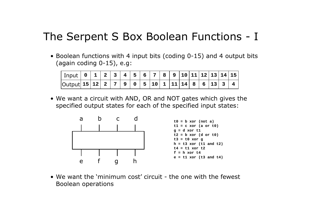#### The Serpent S Box Boolean Functions - I

• Boolean functions with 4 input bits (coding 0-15) and 4 output bits (again coding 0-15), e.g:

| $ $ Output $ 15 12 2 7 9 05 1011 111186161334$ |  |  |  |  |  |  |  |  |
|------------------------------------------------|--|--|--|--|--|--|--|--|

. We want a circuit with AND, OR and NOT gates which gives the specified output states for each of the specified input states:



• We want the 'minimum cost' circuit - the one with the fewest Boolean operations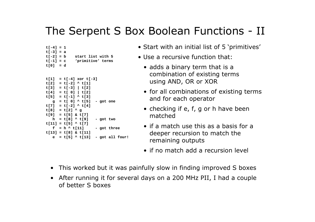### The Serpent S Box Boolean Functions - II

```
t[-4] = 1t[-3] = at[-2] = bstart list with 5
t[-1] = c'primitive' terms
t[0] = dt[1] = t[-4] xor t[-3]t[2] = t[-2] \land t[1]
t[3] = t[-3] | t[2]
t[4] = t[0] | t[2]t[5] = t[-1] ^ t[3]q = t[0] ^ t[5] - got one
t[7] = t[-2] \land t[4]
t[8] = t[2] ^ g
t[9] = t[5] & t[7]h = t[8] ^ t[9]
                     - got two
t[11] = t[5] \land t[7]
   f = h \wedge t[11]- got three
t[13] = t[8] & t[11]e = t[5] ^ t[13] - got all four!
```
- Start with an initial list of 5 'primitives'
- Use a recursive function that:
	- adds a binary term that is a combination of existing terms using AND, OR or XOR
	- for all combinations of existing terms and for each operator
	- checking if e, f, g or h have been matched
	- $\bullet$  if a match use this as a basis for a deeper recursion to match the remaining outputs
	- if no match add a recursion level
- This worked but it was painfully slow in finding improved S boxes
- After running it for several days on a 200 MHz PII, I had a couple of better S boxes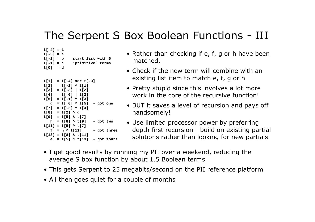### The Serpent S Box Boolean Functions - III

```
t[-4] = 1t[-3] = at[-2] = bstart list with 5
t[-1] = c'primitive' terms
t[0] = dt[1] = t[-4] xor t[-3]t[2] = t[-2] ^ t[1]t[3] = t[-3] | t[2]
t[4] = t[0] | t[2]t[5] = t[-1] \wedge t[3]g = t[0] ^ t[5] - got one
t[7] = t[-2] \land t[4]
t[8] = t[2] \wedge q
t[9] = t[5] & t[7]h = t[8] ^ t[9] - got two
t[11] = t[5] ^ t[7]f = h \wedge t[11]- got three
t[13] = t[8] & t[11]e = t[5] ^ t[13] - got four!
```
- Rather than checking if e, f, g or h have been matched,
- Check if the new term will combine with an existing list item to match e, f, g or h
- Pretty stupid since this involves a lot more work in the core of the recursive function!
- BUT it saves a level of recursion and pays off handsomely!
- Use limited processor power by preferring depth first recursion - build on existing partial solutions rather than looking for new partials
- I get good results by running my PII over a weekend, reducing the average S box function by about 1.5 Boolean terms
- This gets Serpent to 25 megabits/second on the PII reference platform
- All then goes quiet for a couple of months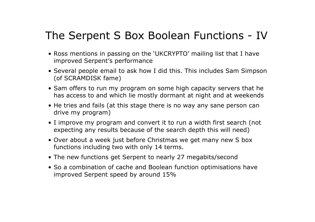## The Serpent S Box Boolean Functions - IV

- Ross mentions in passing on the 'UKCRYPTO' mailing list that I have improved Serpent's performance
- Several people email to ask how I did this. This includes Sam Simpson (of SCRAMDISK fame)
- Sam offers to run my program on some high capacity servers that he has access to and which lie mostly dormant at night and at weekends
- He tries and fails (at this stage there is no way any sane person can drive my program)
- I improve my program and convert it to run a width first search (not expecting any results because of the search depth this will need)
- Over about a week just before Christmas we get many new S box functions including two with only 14 terms.
- The new functions get Serpent to nearly 27 megabits/second
- So a combination of cache and Boolean function optimisations have improved Serpent speed by around 15%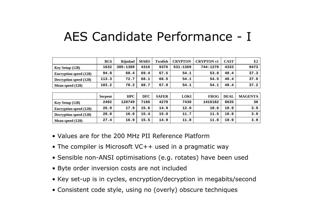## AES Candidate Performance - I

|                               | RC <sub>6</sub> | Rijndael   | <b>MARS</b> | <b>Twofish</b> | <b>CRYPTON</b> | <b>CRYPTON v1</b> | <b>CAST</b> | E2             |
|-------------------------------|-----------------|------------|-------------|----------------|----------------|-------------------|-------------|----------------|
| Key Setup (128)               | 1632            | 305:1389   | 4316        | 9376           | 531:1369       | 744:1270          | 4333        | 9473           |
| <b>Encryption speed (128)</b> | 94.8            | 68.4       | 69.4        | 67.5           | 54.1           | 53.8              | 40.4        | 37.3           |
| Decryption speed (128)        | 113.3           | 72.7       | 68.1        | 66.5           | 54.1           | 54.5              | 40.4        | 37.0           |
| Mean speed (128)              | 103.2           | 70.2       | 68.7        | 67.0           | 54.1           | 54.1              | 40.4        | 37.2           |
|                               |                 |            |             |                |                |                   |             |                |
|                               | <b>Serpent</b>  | <b>HPC</b> | <b>DFC</b>  | <b>SAFER</b>   | <b>LOKI</b>    | <b>FROG</b>       | <b>DEAL</b> | <b>MAGENTA</b> |
| Key Setup (128)               | 2402            | 120749     | 7166        | 4278           | 7430           | 1416182           | 8635        | 30             |
| <b>Encryption speed (128)</b> | 26.9            | 17.9       | 15.6        | 14.9           | 12.0           | 10.6              | 10.9        | 3.9            |
| Decryption speed (128)        | 28.0            | 16.0       | 15.4        | 15.0           | 11.7           | 11.5              | 10.8        | 3.9            |
| Mean speed (128)              | 27.4            | 16.9       | 15.5        | 14.9           | 11.8           | 11.0              | 10.9        | 3.9            |

- Values are for the 200 MHz PII Reference Platform
- The compiler is Microsoft VC++ used in a pragmatic way
- Sensible non-ANSI optimisations (e.g. rotates) have been used
- Byte order inversion costs are not included
- Key set-up is in cycles, encryption/decryption in megabits/second
- . Consistent code style, using no (overly) obscure techniques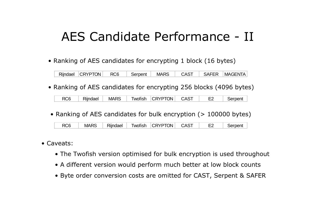## AES Candidate Performance - II

• Ranking of AES candidates for encrypting 1 block (16 bytes)

Rijndael CRYPTON RC<sub>6</sub> **SAFER MAGENTA** Serpent **MARS CAST** 

• Ranking of AES candidates for encrypting 256 blocks (4096 bytes)

RC<sub>6</sub> Rijndael **MARS** Twofish **CRYPTON CAST**  $E2$ Serpent

• Ranking of AES candidates for bulk encryption (> 100000 bytes)

|  | <b>MARS</b> | Rijndael <sup>1</sup> |  | Twofish CRYPTON CAST |  |  | Serpent |
|--|-------------|-----------------------|--|----------------------|--|--|---------|
|--|-------------|-----------------------|--|----------------------|--|--|---------|

- Caveats:
	- The Twofish version optimised for bulk encryption is used throughout
	- A different version would perform much better at low block counts
	- Byte order conversion costs are omitted for CAST, Serpent & SAFER